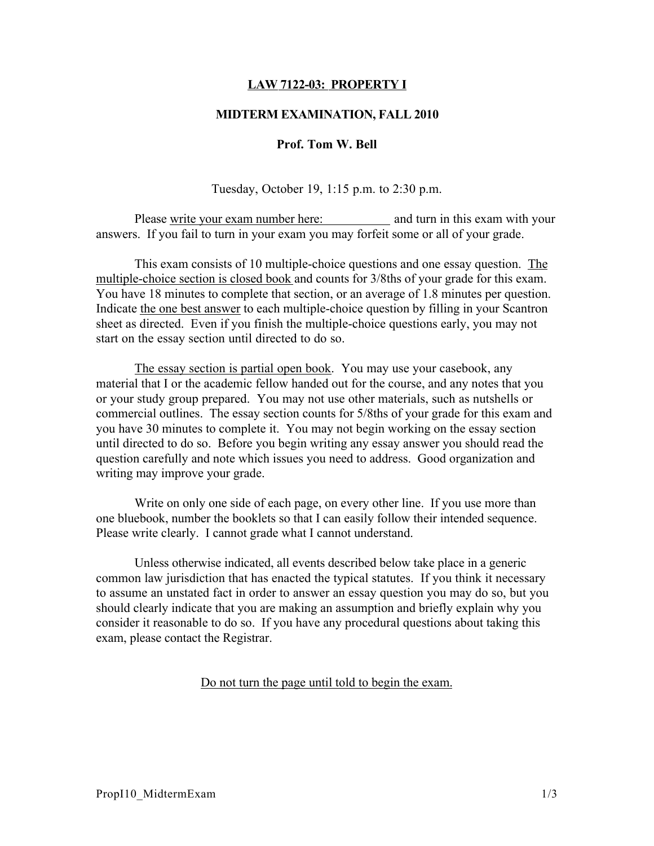# LAW 7122-03: PROPERTY I

### MIDTERM EXAMINATION, FALL 2010

#### Prof. Tom W. Bell

Tuesday, October 19, 1:15 p.m. to 2:30 p.m.

Please write your exam number here: and turn in this exam with your answers. If you fail to turn in your exam you may forfeit some or all of your grade.

This exam consists of 10 multiple-choice questions and one essay question. The multiple-choice section is closed book and counts for 3/8ths of your grade for this exam. You have 18 minutes to complete that section, or an average of 1.8 minutes per question. Indicate the one best answer to each multiple-choice question by filling in your Scantron sheet as directed. Even if you finish the multiple-choice questions early, you may not start on the essay section until directed to do so.

The essay section is partial open book. You may use your casebook, any material that I or the academic fellow handed out for the course, and any notes that you or your study group prepared. You may not use other materials, such as nutshells or commercial outlines. The essay section counts for 5/8ths of your grade for this exam and you have 30 minutes to complete it. You may not begin working on the essay section until directed to do so. Before you begin writing any essay answer you should read the question carefully and note which issues you need to address. Good organization and writing may improve your grade.

Write on only one side of each page, on every other line. If you use more than one bluebook, number the booklets so that I can easily follow their intended sequence. Please write clearly. I cannot grade what I cannot understand.

Unless otherwise indicated, all events described below take place in a generic common law jurisdiction that has enacted the typical statutes. If you think it necessary to assume an unstated fact in order to answer an essay question you may do so, but you should clearly indicate that you are making an assumption and briefly explain why you consider it reasonable to do so. If you have any procedural questions about taking this exam, please contact the Registrar.

Do not turn the page until told to begin the exam.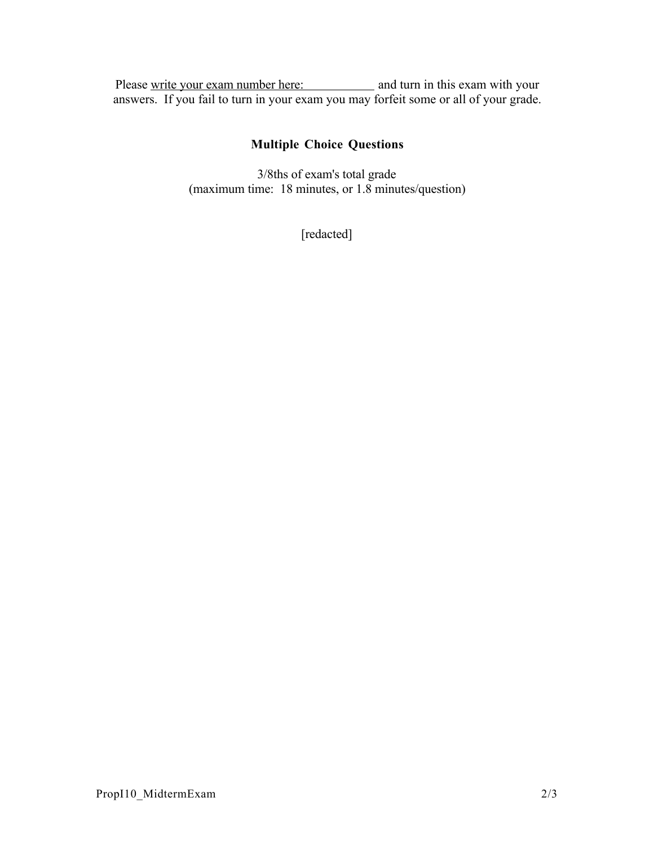Please write your exam number here: and turn in this exam with your answers. If you fail to turn in your exam you may forfeit some or all of your grade.

# Multiple Choice Questions

3/8ths of exam's total grade (maximum time: 18 minutes, or 1.8 minutes/question)

[redacted]